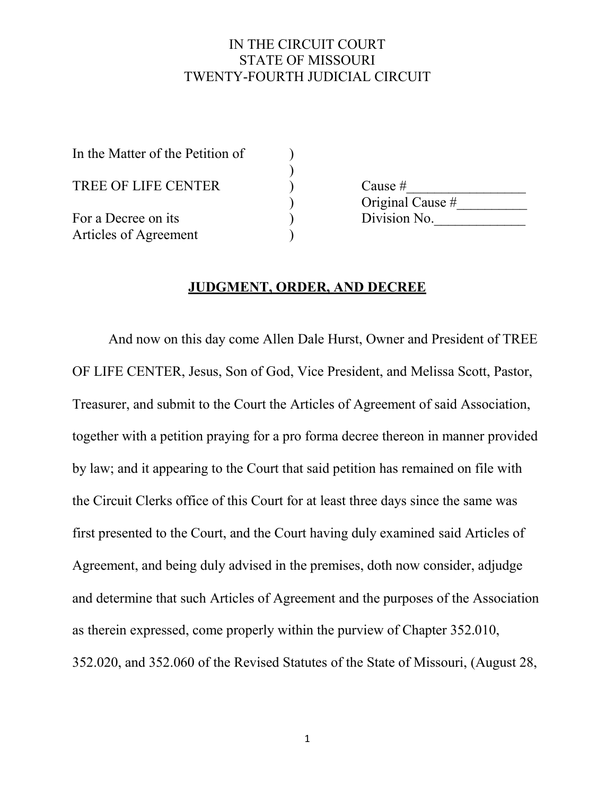#### IN THE CIRCUIT COURT STATE OF MISSOURI TWENTY-FOURTH JUDICIAL CIRCUIT

| In the Matter of the Petition of |                  |
|----------------------------------|------------------|
|                                  |                  |
| TREE OF LIFE CENTER              | Cause $#$        |
|                                  | Original Cause # |
| For a Decree on its              | Division No.     |
| Articles of Agreement            |                  |

#### **JUDGMENT, ORDER, AND DECREE**

And now on this day come Allen Dale Hurst, Owner and President of TREE OF LIFE CENTER, Jesus, Son of God, Vice President, and Melissa Scott, Pastor, Treasurer, and submit to the Court the Articles of Agreement of said Association, together with a petition praying for a pro forma decree thereon in manner provided by law; and it appearing to the Court that said petition has remained on file with the Circuit Clerks office of this Court for at least three days since the same was first presented to the Court, and the Court having duly examined said Articles of Agreement, and being duly advised in the premises, doth now consider, adjudge and determine that such Articles of Agreement and the purposes of the Association as therein expressed, come properly within the purview of Chapter 352.010, 352.020, and 352.060 of the Revised Statutes of the State of Missouri, (August 28,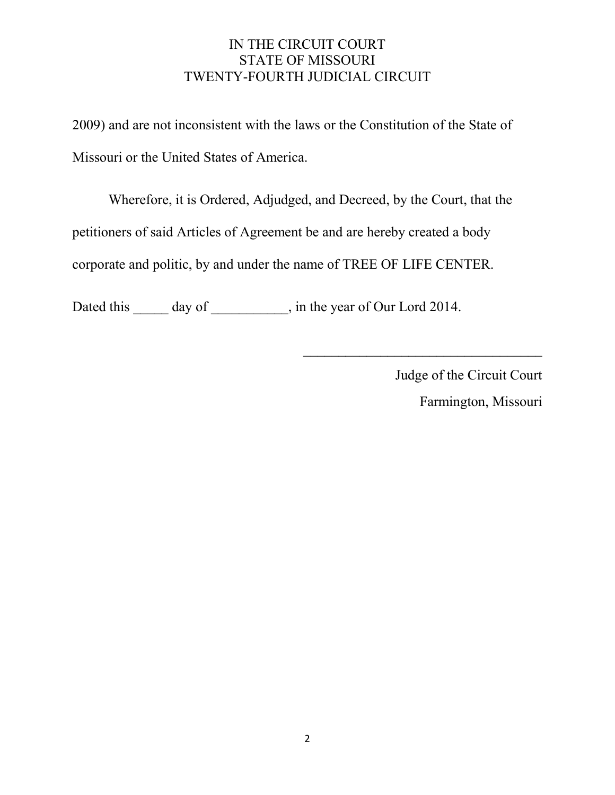## IN THE CIRCUIT COURT STATE OF MISSOURI TWENTY-FOURTH JUDICIAL CIRCUIT

2009) and are not inconsistent with the laws or the Constitution of the State of Missouri or the United States of America.

Wherefore, it is Ordered, Adjudged, and Decreed, by the Court, that the petitioners of said Articles of Agreement be and are hereby created a body corporate and politic, by and under the name of TREE OF LIFE CENTER.

Dated this \_\_\_\_\_\_ day of \_\_\_\_\_\_\_\_\_\_, in the year of Our Lord 2014.

Judge of the Circuit Court Farmington, Missouri

 $\mathcal{L}_\text{max}$  , where  $\mathcal{L}_\text{max}$  , we have the set of the set of the set of the set of the set of the set of the set of the set of the set of the set of the set of the set of the set of the set of the set of the set of